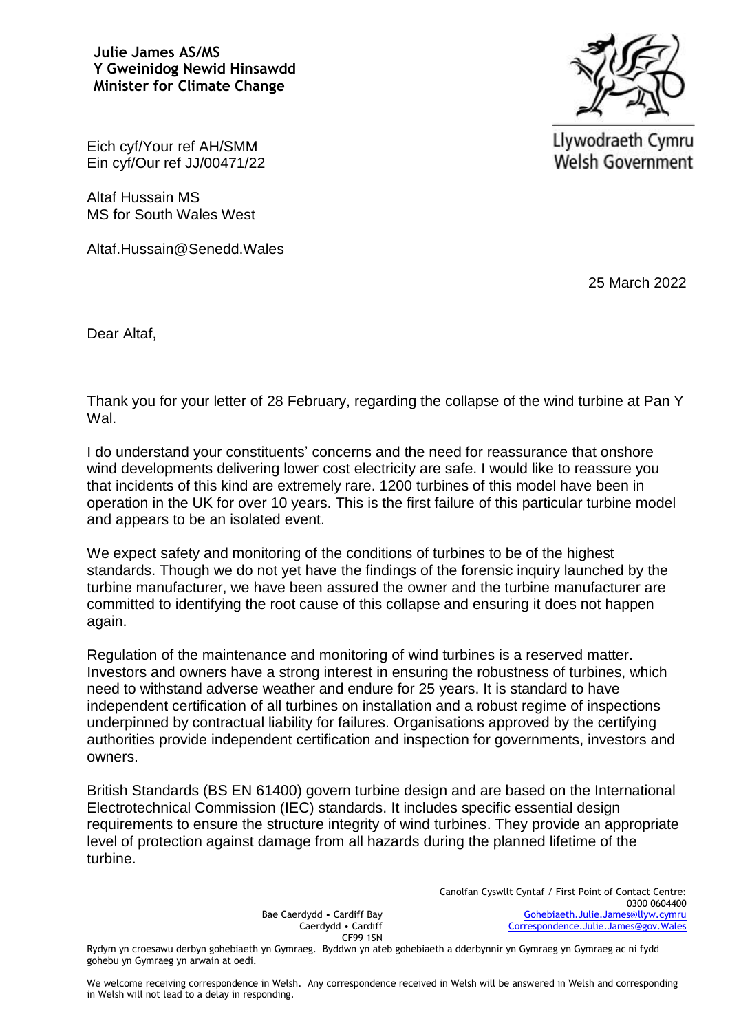**Julie James AS/MS Y Gweinidog Newid Hinsawdd Minister for Climate Change**



Llywodraeth Cymru **Welsh Government** 

Eich cyf/Your ref AH/SMM Ein cyf/Our ref JJ/00471/22

Altaf Hussain MS MS for South Wales West

Altaf.Hussain@Senedd.Wales

25 March 2022

Dear Altaf,

Thank you for your letter of 28 February, regarding the collapse of the wind turbine at Pan Y Wal.

I do understand your constituents' concerns and the need for reassurance that onshore wind developments delivering lower cost electricity are safe. I would like to reassure you that incidents of this kind are extremely rare. 1200 turbines of this model have been in operation in the UK for over 10 years. This is the first failure of this particular turbine model and appears to be an isolated event.

We expect safety and monitoring of the conditions of turbines to be of the highest standards. Though we do not yet have the findings of the forensic inquiry launched by the turbine manufacturer, we have been assured the owner and the turbine manufacturer are committed to identifying the root cause of this collapse and ensuring it does not happen again.

Regulation of the maintenance and monitoring of wind turbines is a reserved matter. Investors and owners have a strong interest in ensuring the robustness of turbines, which need to withstand adverse weather and endure for 25 years. It is standard to have independent certification of all turbines on installation and a robust regime of inspections underpinned by contractual liability for failures. Organisations approved by the certifying authorities provide independent certification and inspection for governments, investors and owners.

British Standards (BS EN 61400) govern turbine design and are based on the International Electrotechnical Commission (IEC) standards. It includes specific essential design requirements to ensure the structure integrity of wind turbines. They provide an appropriate level of protection against damage from all hazards during the planned lifetime of the turbine.

> Bae Caerdydd • Cardiff Bay Caerdydd • Cardiff CF99 1SN

Canolfan Cyswllt Cyntaf / First Point of Contact Centre: 0300 0604400 [Gohebiaeth.Julie.James@llyw.cymru](mailto:Gohebiaeth.Julie.James@llyw.cymru) [Correspondence.Julie.James@gov.Wales](mailto:Correspondence.Julie.James@gov.Wales)

Rydym yn croesawu derbyn gohebiaeth yn Gymraeg. Byddwn yn ateb gohebiaeth a dderbynnir yn Gymraeg yn Gymraeg ac ni fydd gohebu yn Gymraeg yn arwain at oedi.

We welcome receiving correspondence in Welsh. Any correspondence received in Welsh will be answered in Welsh and corresponding in Welsh will not lead to a delay in responding.